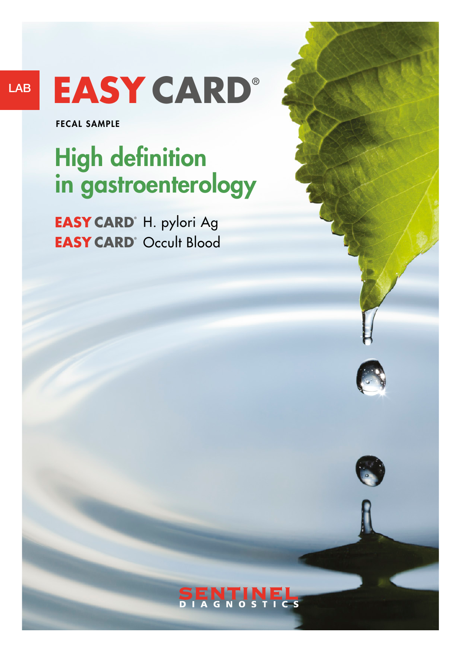LAB

# **EASY CARD®**

FECAL SAMPLE

## High definition in gastroenterology

**EASY CARD**<sup>®</sup> H. pylori Ag **EASY CARD**<sup>®</sup> Occult Blood